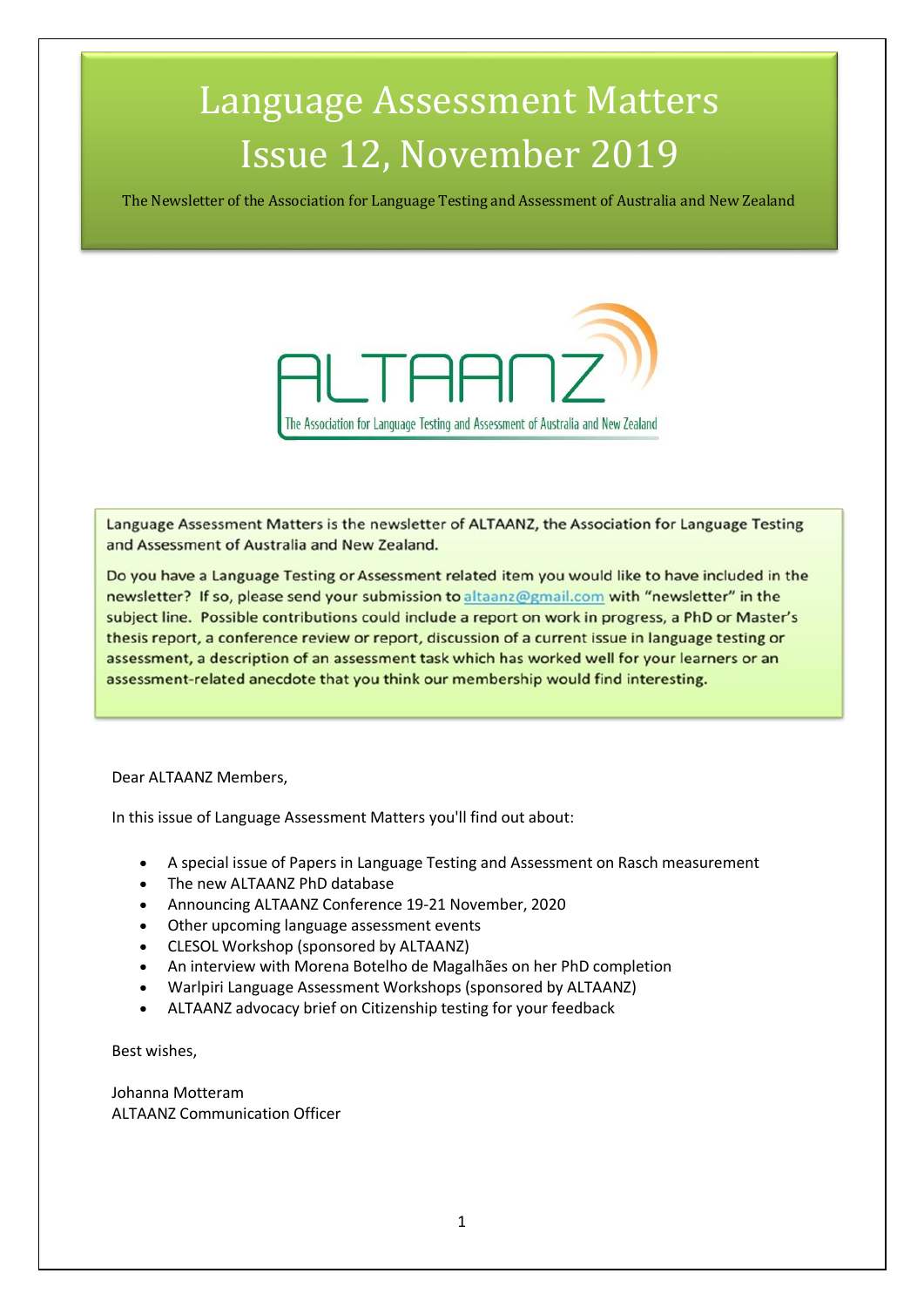# Language Assessment Matters Issue 12, November 2019

The Newsletter of the Association for Language Testing and Assessment of Australia and New Zealand



Language Assessment Matters is the newsletter of ALTAANZ, the Association for Language Testing and Assessment of Australia and New Zealand.

Do you have a Language Testing or Assessment related item you would like to have included in the newsletter? If so, please send your submission to altaanz@gmail.com with "newsletter" in the subject line. Possible contributions could include a report on work in progress, a PhD or Master's thesis report, a conference review or report, discussion of a current issue in language testing or assessment, a description of an assessment task which has worked well for your learners or an assessment-related anecdote that you think our membership would find interesting.

Dear ALTAANZ Members,

In this issue of Language Assessment Matters you'll find out about:

- A special issue of Papers in Language Testing and Assessment on Rasch measurement
- The new ALTAANZ PhD database
- Announcing ALTAANZ Conference 19-21 November, 2020
- Other upcoming language assessment events
- CLESOL Workshop (sponsored by ALTAANZ)
- An interview with Morena Botelho de Magalhães on her PhD completion
- Warlpiri Language Assessment Workshops (sponsored by ALTAANZ)
- ALTAANZ advocacy brief on Citizenship testing for your feedback

Best wishes,

Johanna Motteram ALTAANZ Communication Officer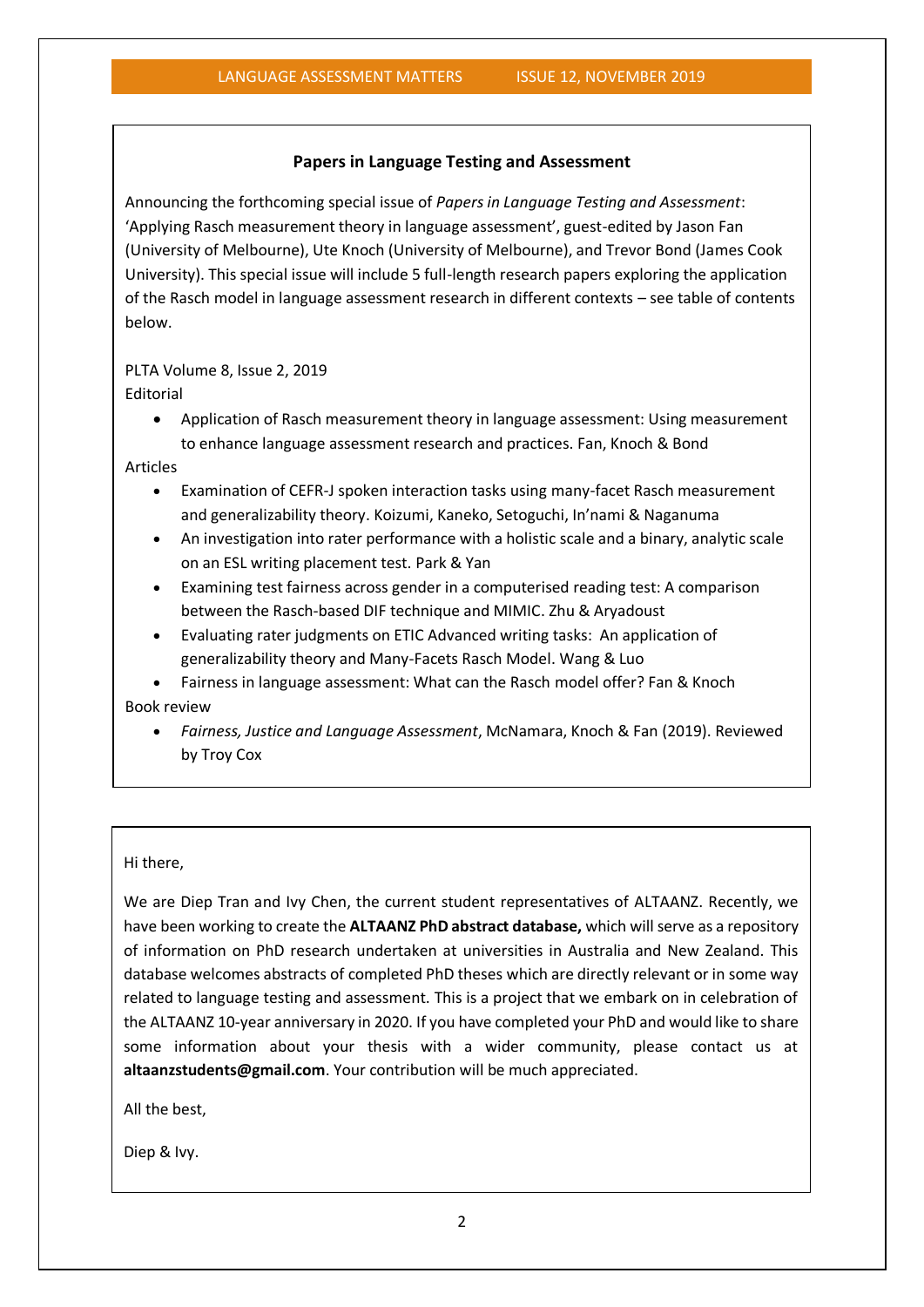#### **Papers in Language Testing and Assessment**

Announcing the forthcoming special issue of *Papers in Language Testing and Assessment*: 'Applying Rasch measurement theory in language assessment', guest-edited by Jason Fan (University of Melbourne), Ute Knoch (University of Melbourne), and Trevor Bond (James Cook University). This special issue will include 5 full-length research papers exploring the application of the Rasch model in language assessment research in different contexts – see table of contents below.

#### PLTA Volume 8, Issue 2, 2019

Editorial

• Application of Rasch measurement theory in language assessment: Using measurement to enhance language assessment research and practices. Fan, Knoch & Bond

Articles

- Examination of CEFR-J spoken interaction tasks using many-facet Rasch measurement and generalizability theory. Koizumi, Kaneko, Setoguchi, In'nami & Naganuma
- An investigation into rater performance with a holistic scale and a binary, analytic scale on an ESL writing placement test. Park & Yan
- Examining test fairness across gender in a computerised reading test: A comparison between the Rasch-based DIF technique and MIMIC. Zhu & Aryadoust
- Evaluating rater judgments on ETIC Advanced writing tasks: An application of generalizability theory and Many-Facets Rasch Model. Wang & Luo

• Fairness in language assessment: What can the Rasch model offer? Fan & Knoch

Book review

• *Fairness, Justice and Language Assessment*, McNamara, Knoch & Fan (2019). Reviewed by Troy Cox

#### Hi there,

We are Diep Tran and Ivy Chen, the current student representatives of ALTAANZ. Recently, we have been working to create the **ALTAANZ PhD abstract database,** which will serve as a repository of information on PhD research undertaken at universities in Australia and New Zealand. This database welcomes abstracts of completed PhD theses which are directly relevant or in some way related to language testing and assessment. This is a project that we embark on in celebration of the ALTAANZ 10-year anniversary in 2020. If you have completed your PhD and would like to share some information about your thesis with a wider community, please contact us at **altaanzstudents@gmail.com**. Your contribution will be much appreciated.

All the best,

Diep & Ivy.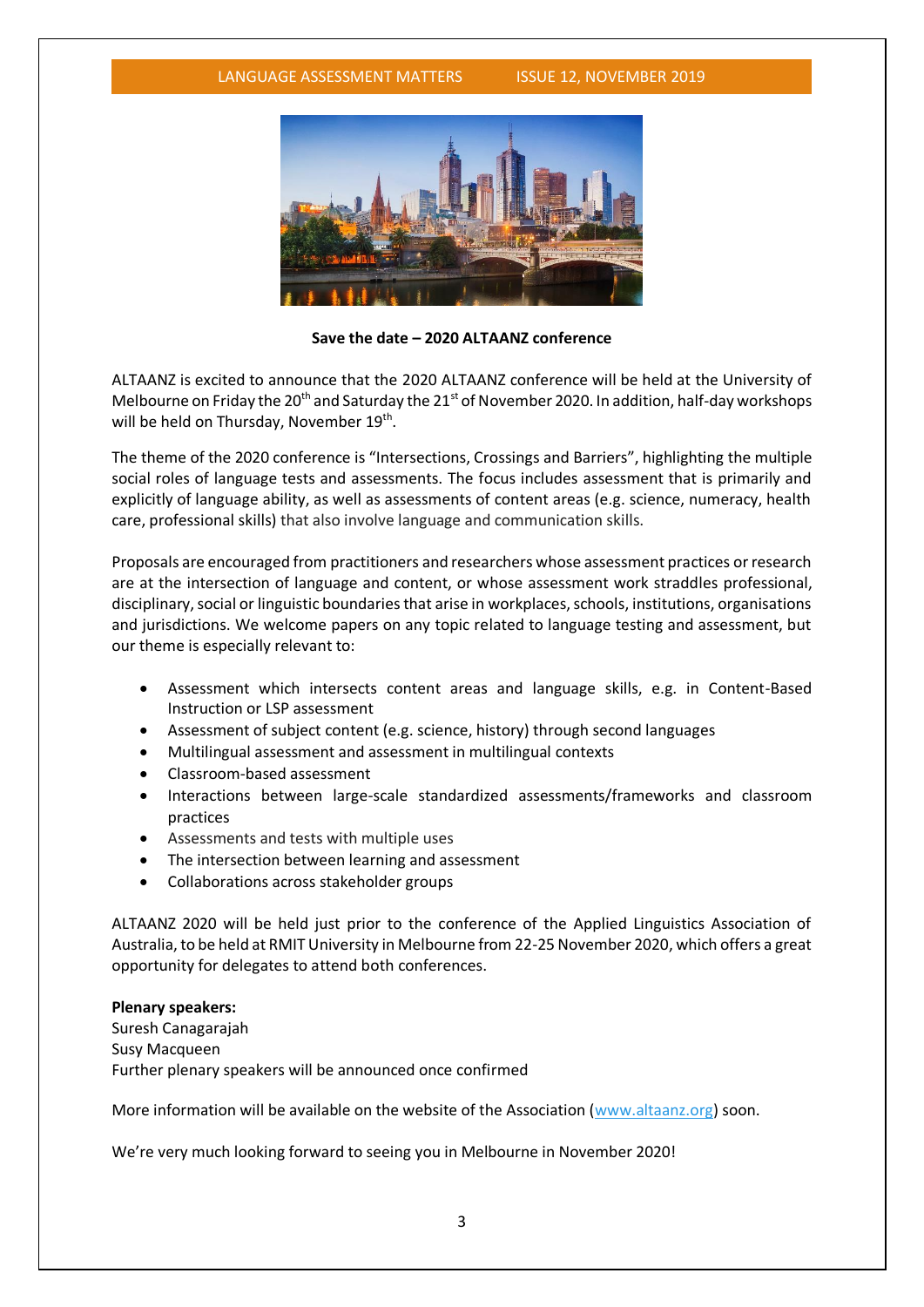

**Save the date – 2020 ALTAANZ conference**

ALTAANZ is excited to announce that the 2020 ALTAANZ conference will be held at the University of Melbourne on Friday the 20<sup>th</sup> and Saturday the 21<sup>st</sup> of November 2020. In addition, half-day workshops will be held on Thursday, November 19<sup>th</sup>.

The theme of the 2020 conference is "Intersections, Crossings and Barriers", highlighting the multiple social roles of language tests and assessments. The focus includes assessment that is primarily and explicitly of language ability, as well as assessments of content areas (e.g. science, numeracy, health care, professional skills) that also involve language and communication skills.

Proposals are encouraged from practitioners and researchers whose assessment practices or research are at the intersection of language and content, or whose assessment work straddles professional, disciplinary, social or linguistic boundaries that arise in workplaces, schools, institutions, organisations and jurisdictions. We welcome papers on any topic related to language testing and assessment, but our theme is especially relevant to:

- Assessment which intersects content areas and language skills, e.g. in Content-Based Instruction or LSP assessment
- Assessment of subject content (e.g. science, history) through second languages
- Multilingual assessment and assessment in multilingual contexts
- Classroom-based assessment
- Interactions between large-scale standardized assessments/frameworks and classroom practices
- Assessments and tests with multiple uses
- The intersection between learning and assessment
- Collaborations across stakeholder groups

ALTAANZ 2020 will be held just prior to the conference of the Applied Linguistics Association of Australia, to be held at RMIT University in Melbourne from 22-25 November 2020, which offers a great opportunity for delegates to attend both conferences.

#### **Plenary speakers:**

Suresh Canagarajah Susy Macqueen Further plenary speakers will be announced once confirmed

More information will be available on the website of the Association [\(www.altaanz.org\)](http://www.altaanz.org/) soon.

We're very much looking forward to seeing you in Melbourne in November 2020!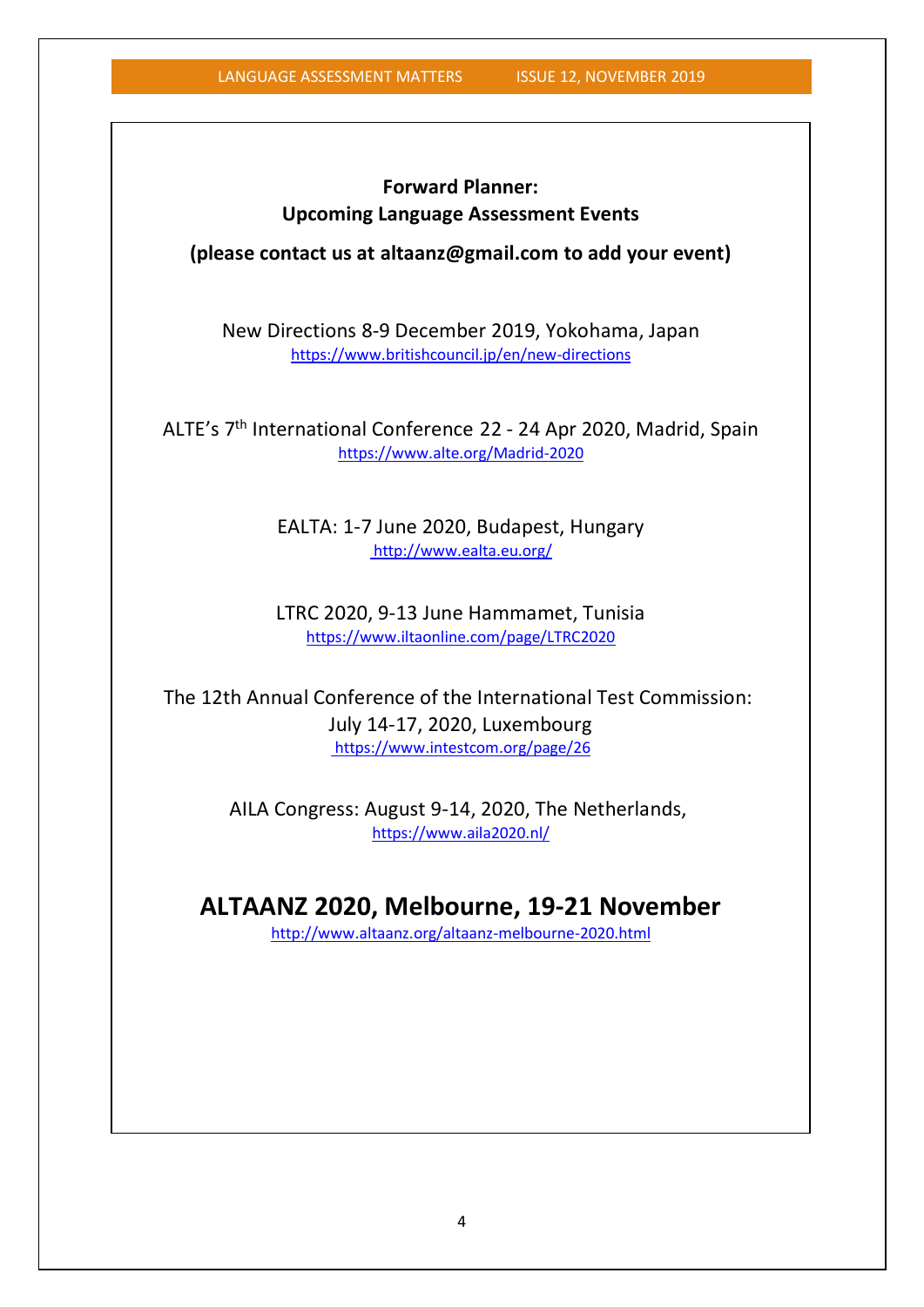### **Forward Planner: Upcoming Language Assessment Events**

**(please contact us at altaanz@gmail.com to add your event)**

New Directions 8-9 December 2019, Yokohama, Japan <https://www.britishcouncil.jp/en/new-directions>

ALTE's 7th International Conference 22 - 24 Apr 2020, Madrid, Spain <https://www.alte.org/Madrid-2020>

> EALTA: 1-7 June 2020, Budapest, Hungary <http://www.ealta.eu.org/>

> LTRC 2020, 9-13 June Hammamet, Tunisia <https://www.iltaonline.com/page/LTRC2020>

The 12th Annual Conference of the International Test Commission: July 14-17, 2020, Luxembourg <https://www.intestcom.org/page/26>

> AILA Congress: August 9-14, 2020, The Netherlands, https://www.aila2020.nl/

### **ALTAANZ 2020, Melbourne, 19-21 November**

<http://www.altaanz.org/altaanz-melbourne-2020.html>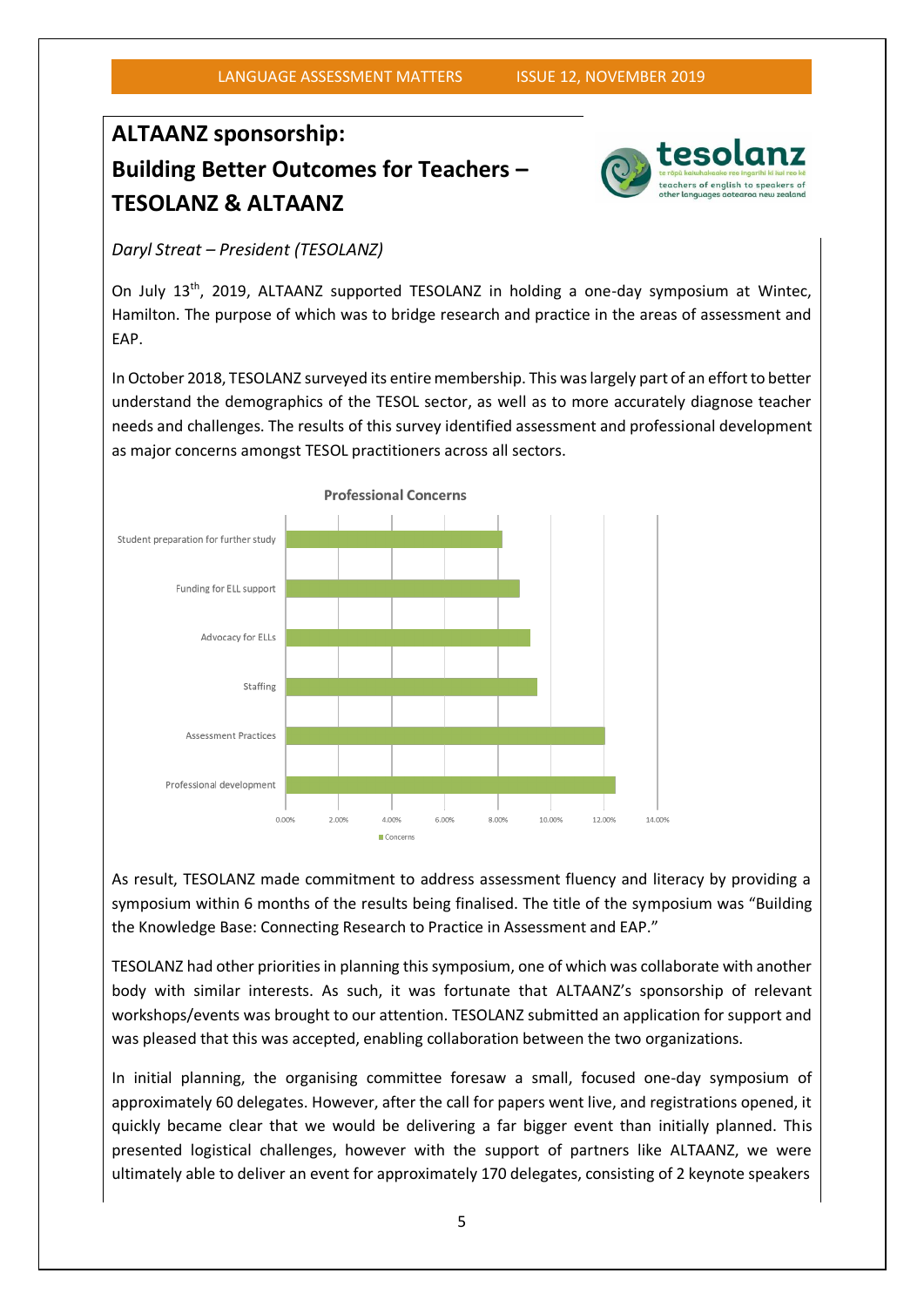## **ALTAANZ sponsorship: Building Better Outcomes for Teachers – TESOLANZ & ALTAANZ**



*Daryl Streat – President (TESOLANZ)*

On July 13<sup>th</sup>, 2019, ALTAANZ supported TESOLANZ in holding a one-day symposium at Wintec, Hamilton. The purpose of which was to bridge research and practice in the areas of assessment and EAP.

In October 2018, TESOLANZ surveyed its entire membership. This was largely part of an effort to better understand the demographics of the TESOL sector, as well as to more accurately diagnose teacher needs and challenges. The results of this survey identified assessment and professional development as major concerns amongst TESOL practitioners across all sectors.



As result, TESOLANZ made commitment to address assessment fluency and literacy by providing a symposium within 6 months of the results being finalised. The title of the symposium was "Building the Knowledge Base: Connecting Research to Practice in Assessment and EAP."

TESOLANZ had other priorities in planning this symposium, one of which was collaborate with another body with similar interests. As such, it was fortunate that ALTAANZ's sponsorship of relevant workshops/events was brought to our attention. TESOLANZ submitted an application for support and was pleased that this was accepted, enabling collaboration between the two organizations.

In initial planning, the organising committee foresaw a small, focused one-day symposium of approximately 60 delegates. However, after the call for papers went live, and registrations opened, it quickly became clear that we would be delivering a far bigger event than initially planned. This presented logistical challenges, however with the support of partners like ALTAANZ, we were ultimately able to deliver an event for approximately 170 delegates, consisting of 2 keynote speakers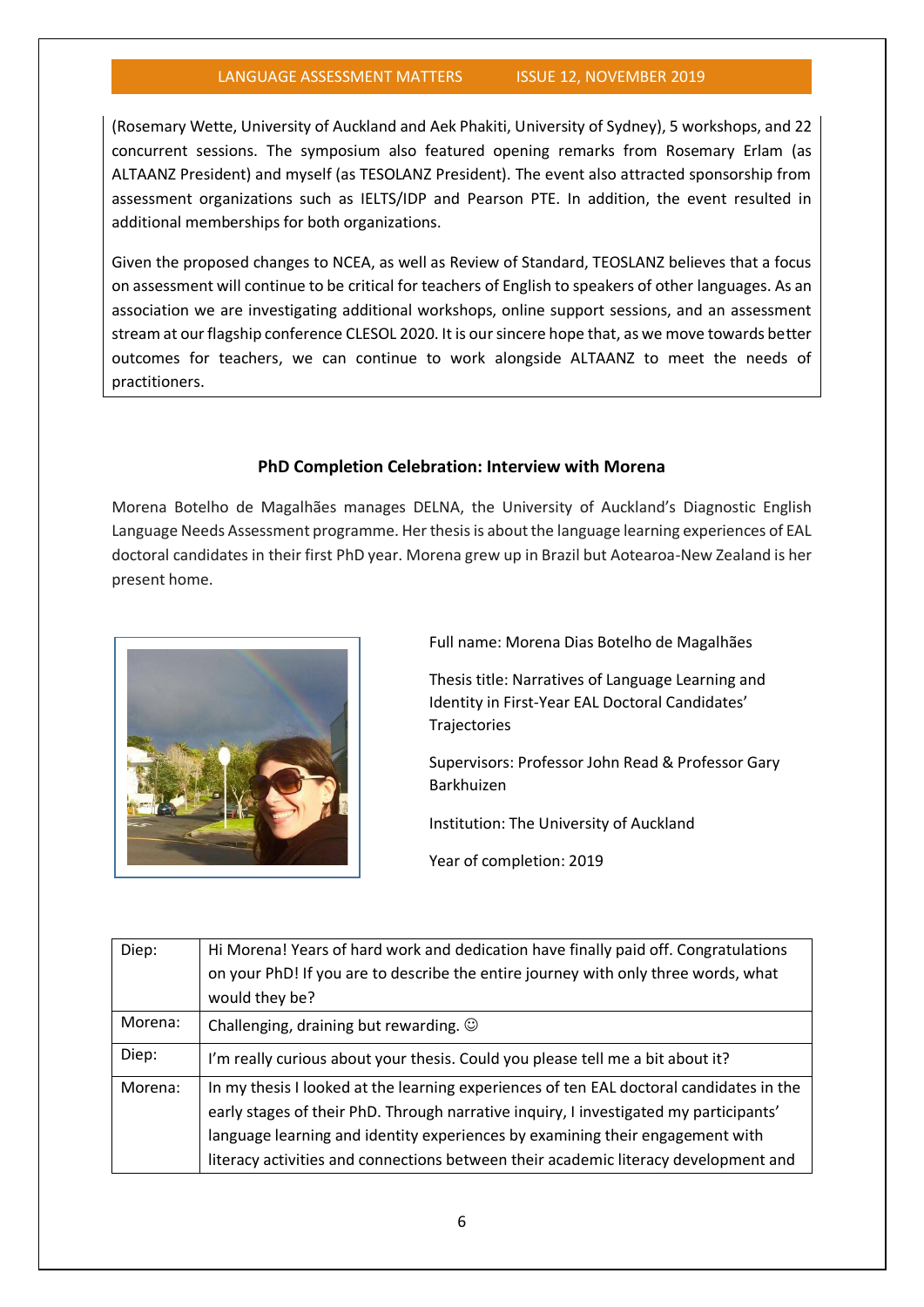(Rosemary Wette, University of Auckland and Aek Phakiti, University of Sydney), 5 workshops, and 22 concurrent sessions. The symposium also featured opening remarks from Rosemary Erlam (as ALTAANZ President) and myself (as TESOLANZ President). The event also attracted sponsorship from assessment organizations such as IELTS/IDP and Pearson PTE. In addition, the event resulted in additional memberships for both organizations.

Given the proposed changes to NCEA, as well as Review of Standard, TEOSLANZ believes that a focus on assessment will continue to be critical for teachers of English to speakers of other languages. As an association we are investigating additional workshops, online support sessions, and an assessment stream at our flagship conference CLESOL 2020. It is our sincere hope that, as we move towards better outcomes for teachers, we can continue to work alongside ALTAANZ to meet the needs of practitioners.

#### **PhD Completion Celebration: Interview with Morena**

Morena Botelho de Magalhães manages DELNA, the University of Auckland's Diagnostic English Language Needs Assessment programme. Her thesis is about the language learning experiences of EAL doctoral candidates in their first PhD year. Morena grew up in Brazil but Aotearoa-New Zealand is her present home.



Full name: Morena Dias Botelho de Magalhães

Thesis title: Narratives of Language Learning and Identity in First-Year EAL Doctoral Candidates' Trajectories

Supervisors: Professor John Read & Professor Gary Barkhuizen

Institution: The University of Auckland

Year of completion: 2019

| Diep:   | Hi Morena! Years of hard work and dedication have finally paid off. Congratulations     |
|---------|-----------------------------------------------------------------------------------------|
|         | on your PhD! If you are to describe the entire journey with only three words, what      |
|         | would they be?                                                                          |
| Morena: | Challenging, draining but rewarding. $\odot$                                            |
| Diep:   | I'm really curious about your thesis. Could you please tell me a bit about it?          |
| Morena: | In my thesis I looked at the learning experiences of ten EAL doctoral candidates in the |
|         | early stages of their PhD. Through narrative inquiry, I investigated my participants'   |
|         | language learning and identity experiences by examining their engagement with           |
|         | literacy activities and connections between their academic literacy development and     |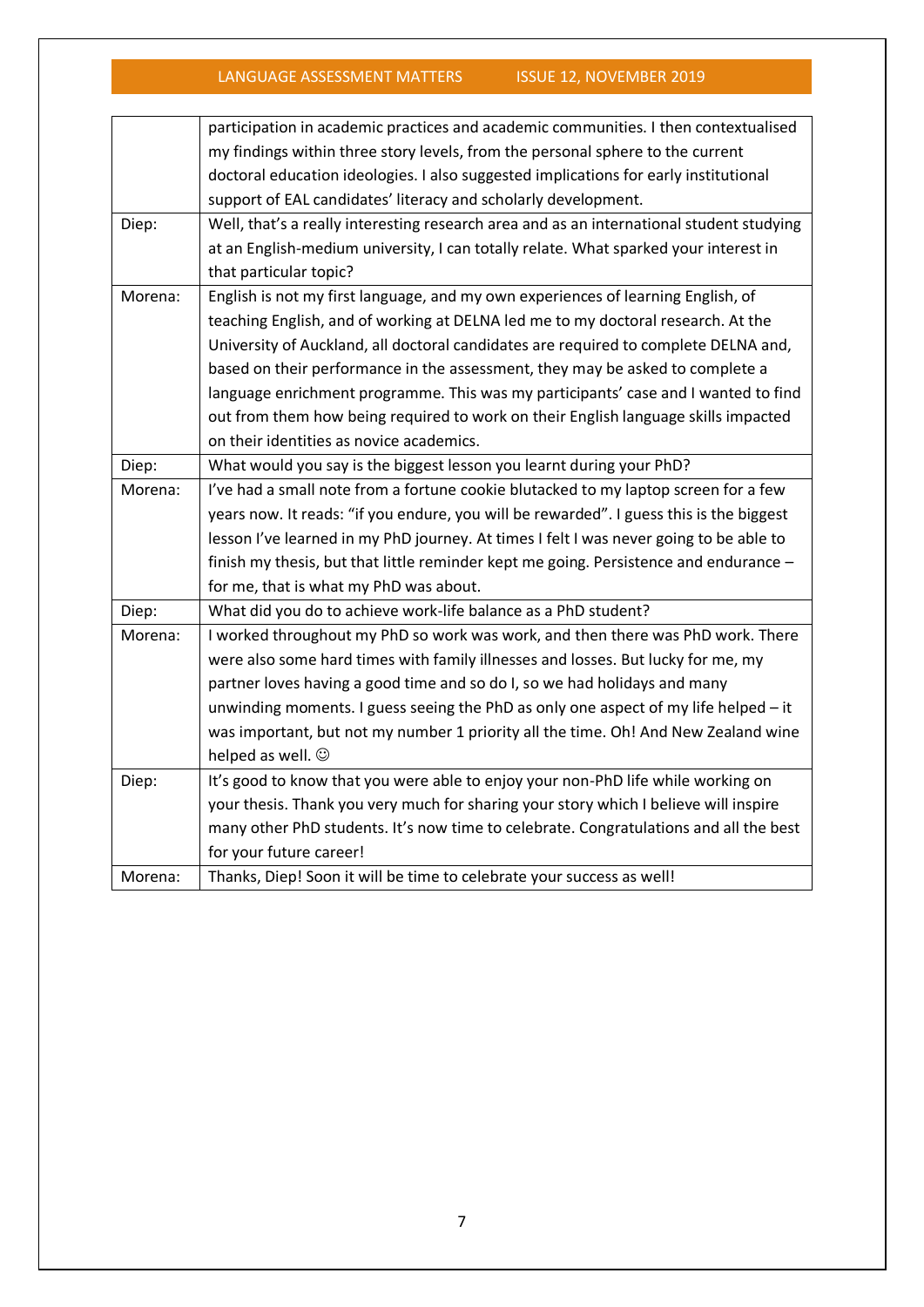|         | participation in academic practices and academic communities. I then contextualised      |
|---------|------------------------------------------------------------------------------------------|
|         | my findings within three story levels, from the personal sphere to the current           |
|         | doctoral education ideologies. I also suggested implications for early institutional     |
|         | support of EAL candidates' literacy and scholarly development.                           |
| Diep:   | Well, that's a really interesting research area and as an international student studying |
|         | at an English-medium university, I can totally relate. What sparked your interest in     |
|         | that particular topic?                                                                   |
| Morena: | English is not my first language, and my own experiences of learning English, of         |
|         | teaching English, and of working at DELNA led me to my doctoral research. At the         |
|         | University of Auckland, all doctoral candidates are required to complete DELNA and,      |
|         | based on their performance in the assessment, they may be asked to complete a            |
|         | language enrichment programme. This was my participants' case and I wanted to find       |
|         | out from them how being required to work on their English language skills impacted       |
|         | on their identities as novice academics.                                                 |
| Diep:   | What would you say is the biggest lesson you learnt during your PhD?                     |
| Morena: | I've had a small note from a fortune cookie blutacked to my laptop screen for a few      |
|         | years now. It reads: "if you endure, you will be rewarded". I guess this is the biggest  |
|         | lesson I've learned in my PhD journey. At times I felt I was never going to be able to   |
|         | finish my thesis, but that little reminder kept me going. Persistence and endurance -    |
|         | for me, that is what my PhD was about.                                                   |
| Diep:   | What did you do to achieve work-life balance as a PhD student?                           |
| Morena: | I worked throughout my PhD so work was work, and then there was PhD work. There          |
|         | were also some hard times with family illnesses and losses. But lucky for me, my         |
|         | partner loves having a good time and so do I, so we had holidays and many                |
|         | unwinding moments. I guess seeing the PhD as only one aspect of my life helped - it      |
|         | was important, but not my number 1 priority all the time. Oh! And New Zealand wine       |
|         | helped as well. $\odot$                                                                  |
| Diep:   | It's good to know that you were able to enjoy your non-PhD life while working on         |
|         | your thesis. Thank you very much for sharing your story which I believe will inspire     |
|         | many other PhD students. It's now time to celebrate. Congratulations and all the best    |
|         | for your future career!                                                                  |
| Morena: | Thanks, Diep! Soon it will be time to celebrate your success as well!                    |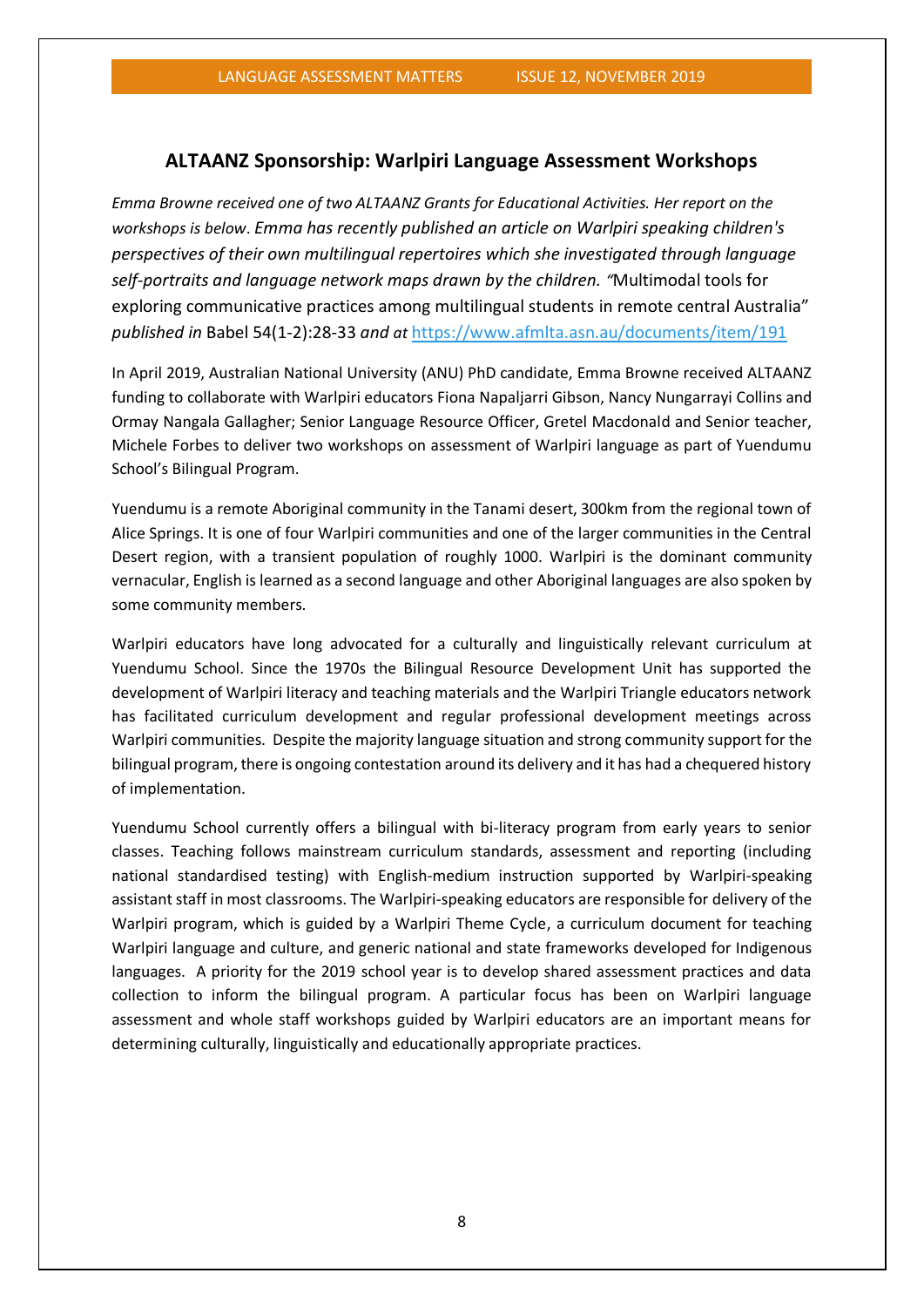#### **ALTAANZ Sponsorship: Warlpiri Language Assessment Workshops**

*Emma Browne received one of two ALTAANZ Grants for Educational Activities. Her report on the workshops is below*. *Emma has recently published an article on Warlpiri speaking children's perspectives of their own multilingual repertoires which she investigated through language self-portraits and language network maps drawn by the children. "*Multimodal tools for exploring communicative practices among multilingual students in remote central Australia" *published in* Babel 54(1-2):28-33 *and at* <https://www.afmlta.asn.au/documents/item/191>

In April 2019, Australian National University (ANU) PhD candidate, Emma Browne received ALTAANZ funding to collaborate with Warlpiri educators Fiona Napaljarri Gibson, Nancy Nungarrayi Collins and Ormay Nangala Gallagher; Senior Language Resource Officer, Gretel Macdonald and Senior teacher, Michele Forbes to deliver two workshops on assessment of Warlpiri language as part of Yuendumu School's Bilingual Program.

Yuendumu is a remote Aboriginal community in the Tanami desert, 300km from the regional town of Alice Springs. It is one of four Warlpiri communities and one of the larger communities in the Central Desert region, with a transient population of roughly 1000. Warlpiri is the dominant community vernacular, English is learned as a second language and other Aboriginal languages are also spoken by some community members.

Warlpiri educators have long advocated for a culturally and linguistically relevant curriculum at Yuendumu School. Since the 1970s the Bilingual Resource Development Unit has supported the development of Warlpiri literacy and teaching materials and the Warlpiri Triangle educators network has facilitated curriculum development and regular professional development meetings across Warlpiri communities. Despite the majority language situation and strong community support for the bilingual program, there is ongoing contestation around its delivery and it has had a chequered history of implementation.

Yuendumu School currently offers a bilingual with bi-literacy program from early years to senior classes. Teaching follows mainstream curriculum standards, assessment and reporting (including national standardised testing) with English-medium instruction supported by Warlpiri-speaking assistant staff in most classrooms. The Warlpiri-speaking educators are responsible for delivery of the Warlpiri program, which is guided by a Warlpiri Theme Cycle, a curriculum document for teaching Warlpiri language and culture, and generic national and state frameworks developed for Indigenous languages. A priority for the 2019 school year is to develop shared assessment practices and data collection to inform the bilingual program. A particular focus has been on Warlpiri language assessment and whole staff workshops guided by Warlpiri educators are an important means for determining culturally, linguistically and educationally appropriate practices.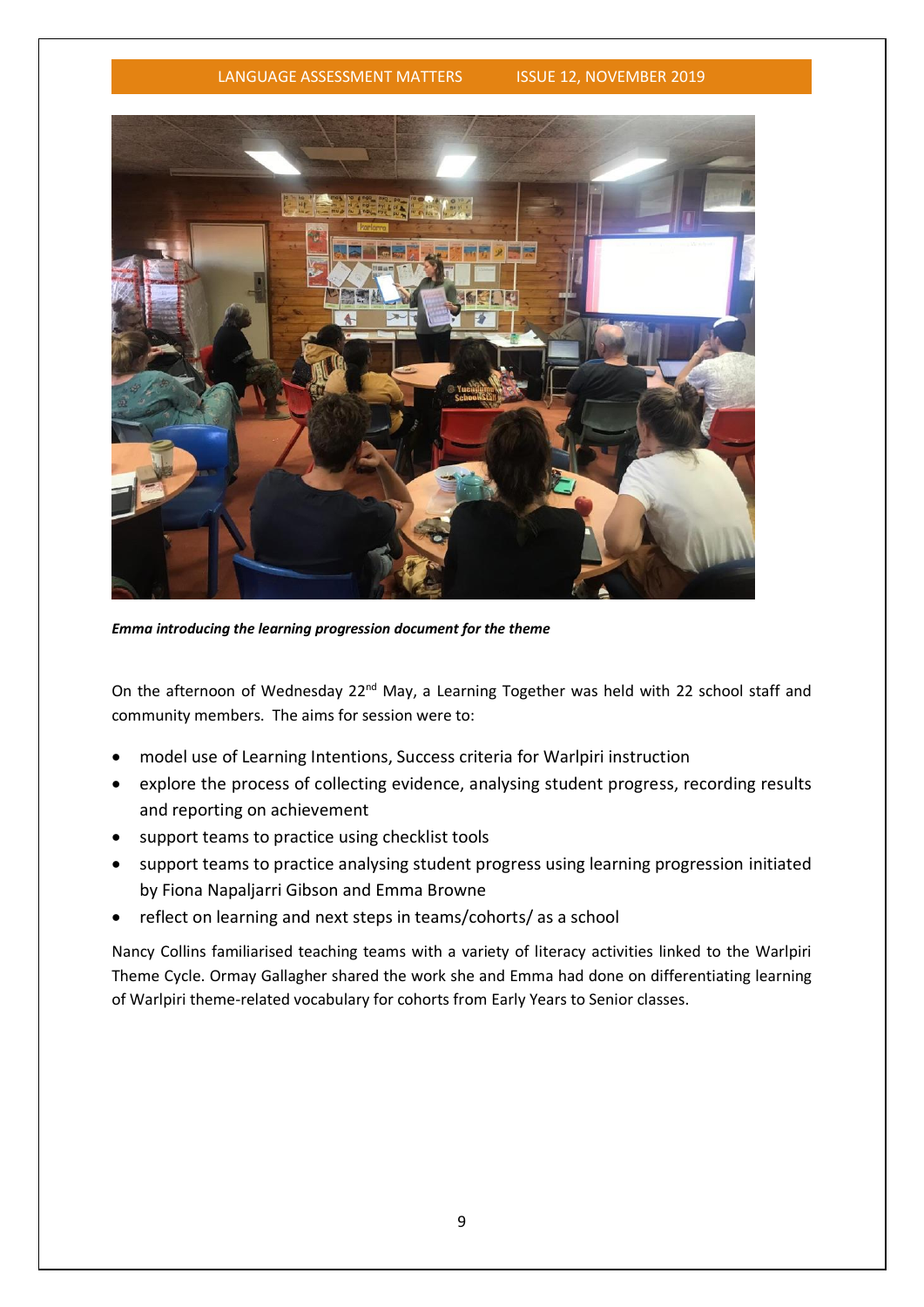

*Emma introducing the learning progression document for the theme*

On the afternoon of Wednesday 22<sup>nd</sup> May, a Learning Together was held with 22 school staff and community members. The aims for session were to:

- model use of Learning Intentions, Success criteria for Warlpiri instruction
- explore the process of collecting evidence, analysing student progress, recording results and reporting on achievement
- support teams to practice using checklist tools
- support teams to practice analysing student progress using learning progression initiated by Fiona Napaljarri Gibson and Emma Browne
- reflect on learning and next steps in teams/cohorts/ as a school

Nancy Collins familiarised teaching teams with a variety of literacy activities linked to the Warlpiri Theme Cycle. Ormay Gallagher shared the work she and Emma had done on differentiating learning of Warlpiri theme-related vocabulary for cohorts from Early Years to Senior classes.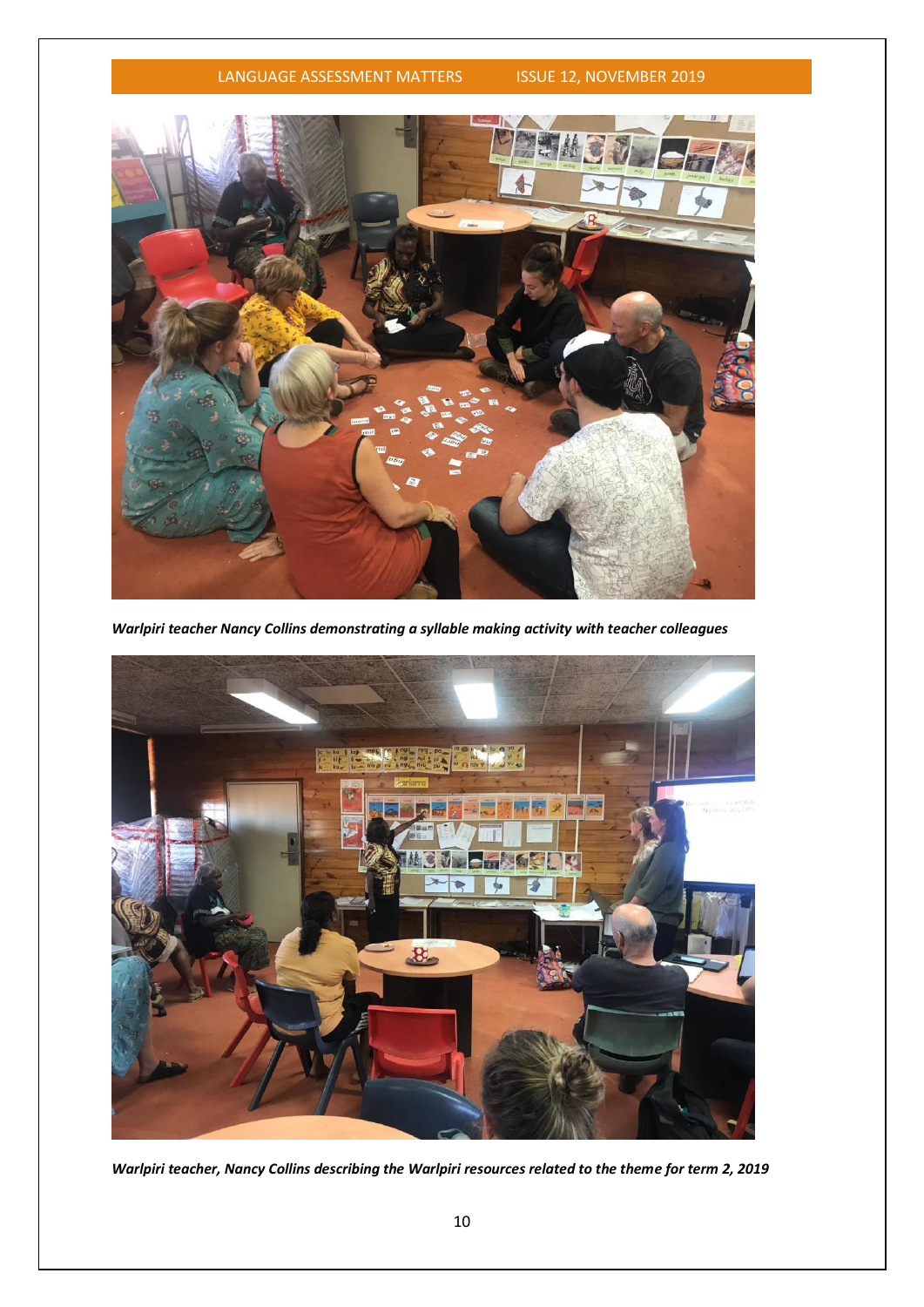

*Warlpiri teacher Nancy Collins demonstrating a syllable making activity with teacher colleagues* 



*Warlpiri teacher, Nancy Collins describing the Warlpiri resources related to the theme for term 2, 2019*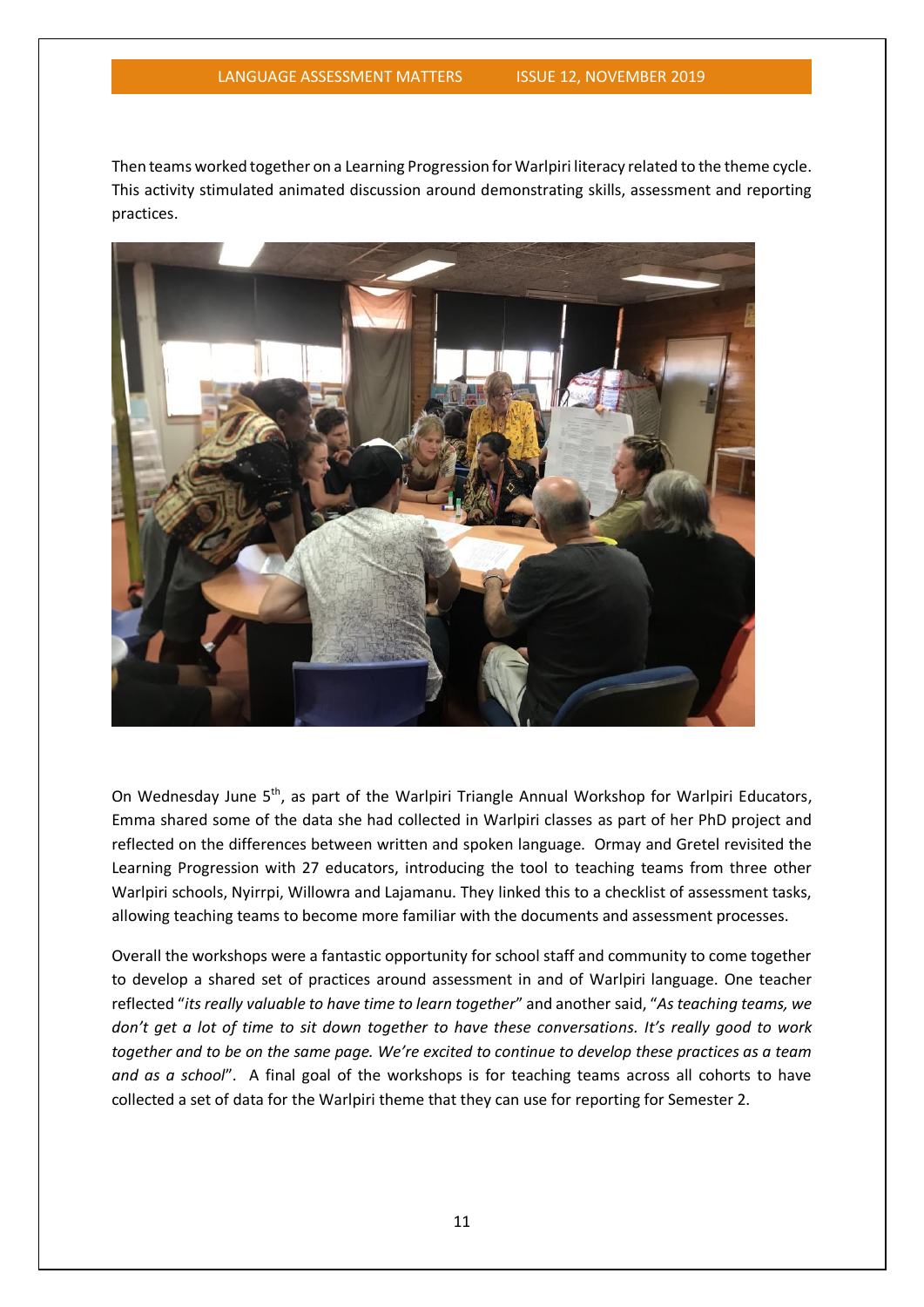Then teams worked together on a Learning Progression for Warlpiri literacy related to the theme cycle. This activity stimulated animated discussion around demonstrating skills, assessment and reporting practices.



On Wednesday June 5<sup>th</sup>, as part of the Warlpiri Triangle Annual Workshop for Warlpiri Educators, Emma shared some of the data she had collected in Warlpiri classes as part of her PhD project and reflected on the differences between written and spoken language. Ormay and Gretel revisited the Learning Progression with 27 educators, introducing the tool to teaching teams from three other Warlpiri schools, Nyirrpi, Willowra and Lajamanu. They linked this to a checklist of assessment tasks, allowing teaching teams to become more familiar with the documents and assessment processes.

Overall the workshops were a fantastic opportunity for school staff and community to come together to develop a shared set of practices around assessment in and of Warlpiri language. One teacher reflected "*its really valuable to have time to learn together*" and another said, "*As teaching teams, we don't get a lot of time to sit down together to have these conversations. It's really good to work together and to be on the same page. We're excited to continue to develop these practices as a team and as a school*". A final goal of the workshops is for teaching teams across all cohorts to have collected a set of data for the Warlpiri theme that they can use for reporting for Semester 2.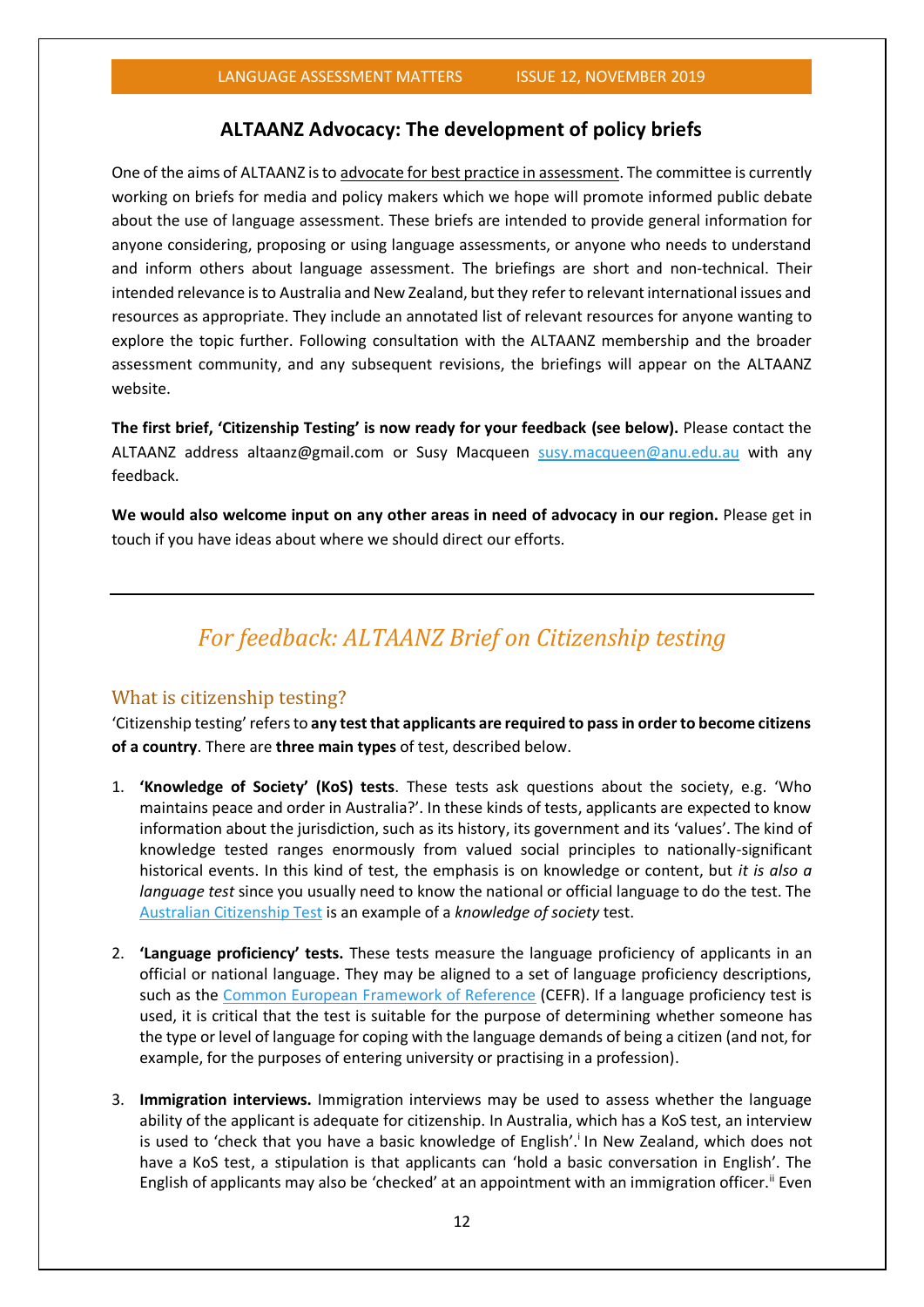#### **ALTAANZ Advocacy: The development of policy briefs**

One of the aims of ALTAANZ is to advocate for best practice in [assessment.](http://www.altaanz.org/) The committee is currently working on briefs for media and policy makers which we hope will promote informed public debate about the use of language assessment. These briefs are intended to provide general information for anyone considering, proposing or using language assessments, or anyone who needs to understand and inform others about language assessment. The briefings are short and non-technical. Their intended relevance is to Australia and New Zealand, but they refer to relevant international issues and resources as appropriate. They include an annotated list of relevant resources for anyone wanting to explore the topic further. Following consultation with the ALTAANZ membership and the broader assessment community, and any subsequent revisions, the briefings will appear on the ALTAANZ website.

**The first brief, 'Citizenship Testing' is now ready for your feedback (see below).** Please contact the ALTAANZ address altaanz@gmail.com or Susy Macqueen [susy.macqueen@anu.edu.au](mailto:susy.macqueen@anu.edu.au) with any feedback.

**We would also welcome input on any other areas in need of advocacy in our region.** Please get in touch if you have ideas about where we should direct our efforts.

### *For feedback: ALTAANZ Brief on Citizenship testing*

#### What is citizenship testing?

'Citizenship testing' refers to **any test that applicants are required to pass in order to become citizens of a country**. There are **three main types** of test, described below.

- 1. **'Knowledge of Society' (KoS) tests**. These tests ask questions about the society, e.g. 'Who maintains peace and order in Australia?'. In these kinds of tests, applicants are expected to know information about the jurisdiction, such as its history, its government and its 'values'. The kind of knowledge tested ranges enormously from valued social principles to nationally-significant historical events. In this kind of test, the emphasis is on knowledge or content, but *it is also a language test* since you usually need to know the national or official language to do the test. The [Australian Citizenship Test](https://immi.homeaffairs.gov.au/citizenship/test-and-interview/overview) is an example of a *knowledge of society* test.
- 2. **'Language proficiency' tests.** These tests measure the language proficiency of applicants in an official or national language. They may be aligned to a set of language proficiency descriptions, such as the [Common European Framework of Reference](https://www.coe.int/en/web/common-european-framework-reference-languages/table-1-cefr-3.3-common-reference-levels-global-scale) (CEFR). If a language proficiency test is used, it is critical that the test is suitable for the purpose of determining whether someone has the type or level of language for coping with the language demands of being a citizen (and not, for example, for the purposes of entering university or practising in a profession).
- 3. **Immigration interviews.** Immigration interviews may be used to assess whether the language ability of the applicant is adequate for citizenship. In Australia, which has a KoS test, an interview is used to 'check that you have a basic knowledge of English'.<sup>i</sup> In New Zealand, which does not have a KoS test, a stipulation is that applicants can 'hold a basic conversation in English'. The English of applicants may also be 'checked' at an appointment with an immigration officer.<sup>"</sup> Even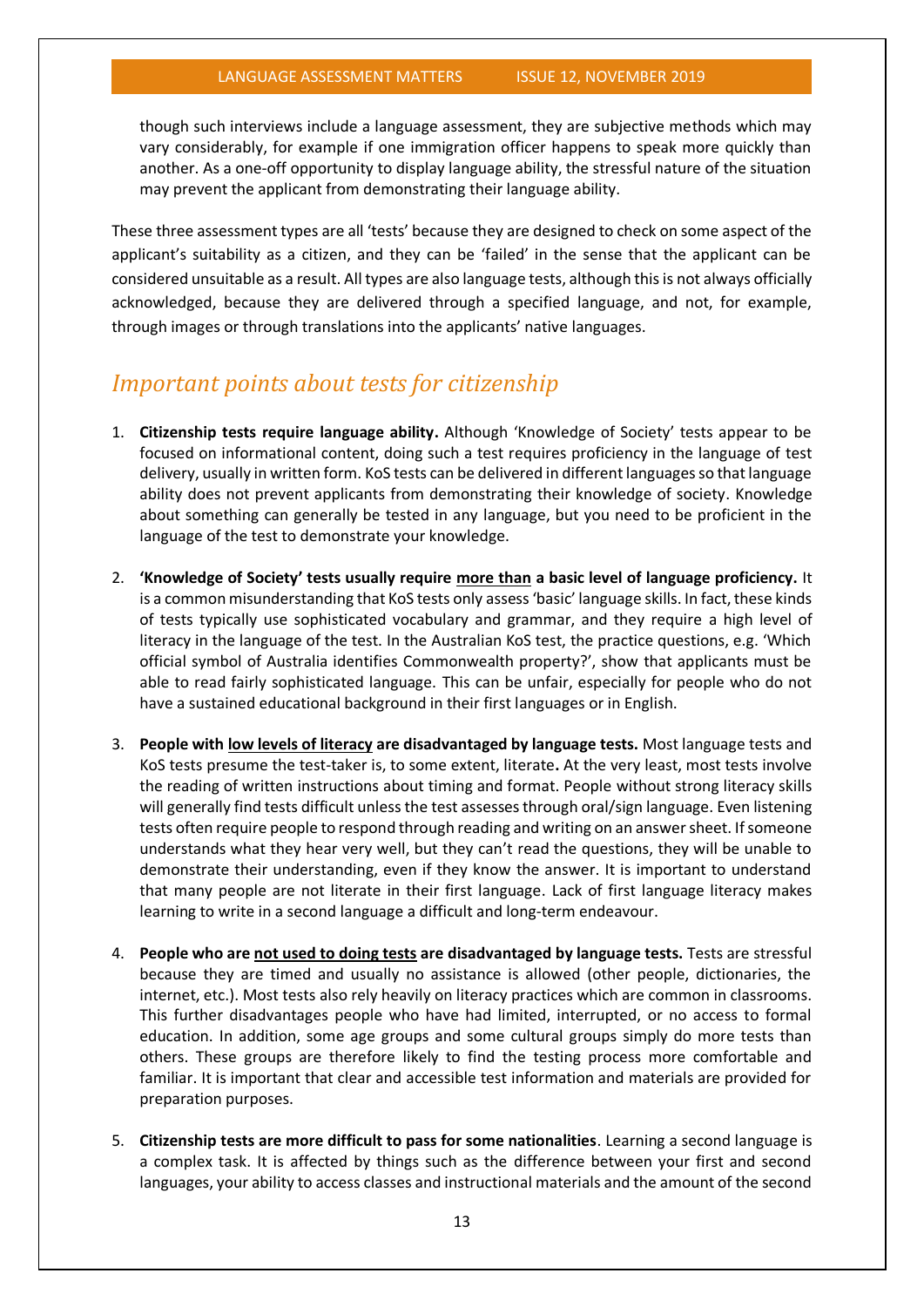though such interviews include a language assessment, they are subjective methods which may vary considerably, for example if one immigration officer happens to speak more quickly than another. As a one-off opportunity to display language ability, the stressful nature of the situation may prevent the applicant from demonstrating their language ability.

These three assessment types are all 'tests' because they are designed to check on some aspect of the applicant's suitability as a citizen, and they can be 'failed' in the sense that the applicant can be considered unsuitable as a result. All types are also language tests, although this is not always officially acknowledged, because they are delivered through a specified language, and not, for example, through images or through translations into the applicants' native languages.

### *Important points about tests for citizenship*

- 1. **Citizenship tests require language ability.** Although 'Knowledge of Society' tests appear to be focused on informational content, doing such a test requires proficiency in the language of test delivery, usually in written form. KoS tests can be delivered in different languages so that language ability does not prevent applicants from demonstrating their knowledge of society. Knowledge about something can generally be tested in any language, but you need to be proficient in the language of the test to demonstrate your knowledge.
- 2. **'Knowledge of Society' tests usually require more than a basic level of language proficiency.** It is a common misunderstanding that KoS tests only assess'basic' language skills. In fact, these kinds of tests typically use sophisticated vocabulary and grammar, and they require a high level of literacy in the language of the test. In the Australian KoS test, the practice questions, e.g. 'Which official symbol of Australia identifies Commonwealth property?', show that applicants must be able to read fairly sophisticated language. This can be unfair, especially for people who do not have a sustained educational background in their first languages or in English.
- 3. **People with low levels of literacy are disadvantaged by language tests.** Most language tests and KoS tests presume the test-taker is, to some extent, literate**.** At the very least, most tests involve the reading of written instructions about timing and format. People without strong literacy skills will generally find tests difficult unless the test assessesthrough oral/sign language. Even listening tests often require people to respond through reading and writing on an answer sheet. If someone understands what they hear very well, but they can't read the questions, they will be unable to demonstrate their understanding, even if they know the answer. It is important to understand that many people are not literate in their first language. Lack of first language literacy makes learning to write in a second language a difficult and long-term endeavour.
- 4. **People who are not used to doing tests are disadvantaged by language tests.** Tests are stressful because they are timed and usually no assistance is allowed (other people, dictionaries, the internet, etc.). Most tests also rely heavily on literacy practices which are common in classrooms. This further disadvantages people who have had limited, interrupted, or no access to formal education. In addition, some age groups and some cultural groups simply do more tests than others. These groups are therefore likely to find the testing process more comfortable and familiar. It is important that clear and accessible test information and materials are provided for preparation purposes.
- 5. **Citizenship tests are more difficult to pass for some nationalities**. Learning a second language is a complex task. It is affected by things such as the difference between your first and second languages, your ability to access classes and instructional materials and the amount of the second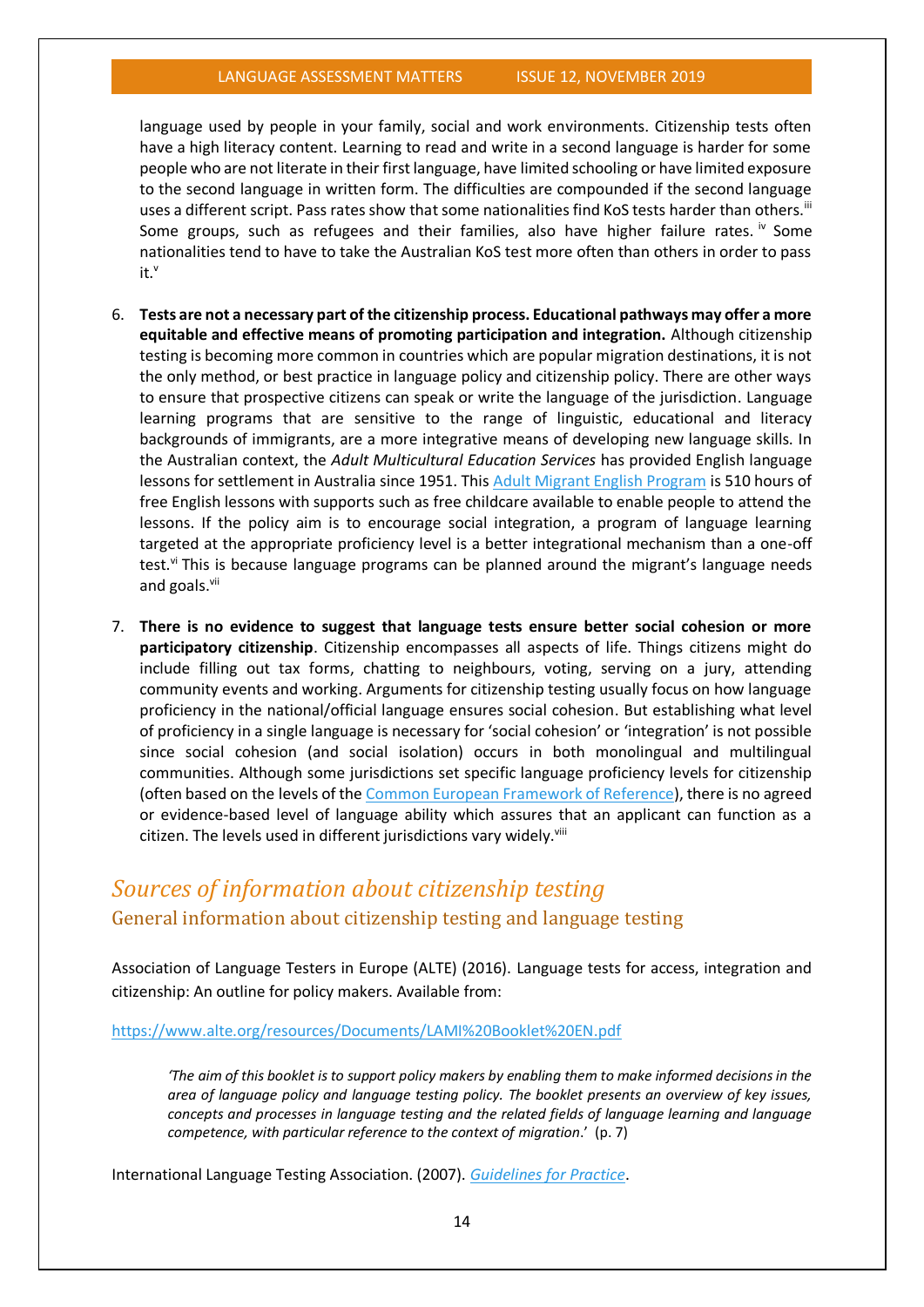language used by people in your family, social and work environments. Citizenship tests often have a high literacy content. Learning to read and write in a second language is harder for some people who are not literate in their first language, have limited schooling or have limited exposure to the second language in written form. The difficulties are compounded if the second language uses a different script. Pass rates show that some nationalities find KoS tests harder than others.<sup>iii</sup> Some groups, such as refugees and their families, also have higher failure rates. <sup>iv</sup> Some nationalities tend to have to take the Australian KoS test more often than others in order to pass it.v

- 6. **Tests are not a necessary part of the citizenship process. Educational pathways may offer a more equitable and effective means of promoting participation and integration.** Although citizenship testing is becoming more common in countries which are popular migration destinations, it is not the only method, or best practice in language policy and citizenship policy. There are other ways to ensure that prospective citizens can speak or write the language of the jurisdiction. Language learning programs that are sensitive to the range of linguistic, educational and literacy backgrounds of immigrants, are a more integrative means of developing new language skills. In the Australian context, the *Adult Multicultural Education Services* has provided English language lessons for settlement in Australia since 1951. This [Adult Migrant English Program](https://www.ames.net.au/students/about-amep) is 510 hours of free English lessons with supports such as free childcare available to enable people to attend the lessons. If the policy aim is to encourage social integration, a program of language learning targeted at the appropriate proficiency level is a better integrational mechanism than a one-off test.<sup>vi</sup> This is because language programs can be planned around the migrant's language needs and goals.<sup>vii</sup>
- 7. **There is no evidence to suggest that language tests ensure better social cohesion or more participatory citizenship**. Citizenship encompasses all aspects of life. Things citizens might do include filling out tax forms, chatting to neighbours, voting, serving on a jury, attending community events and working. Arguments for citizenship testing usually focus on how language proficiency in the national/official language ensures social cohesion. But establishing what level of proficiency in a single language is necessary for 'social cohesion' or 'integration' is not possible since social cohesion (and social isolation) occurs in both monolingual and multilingual communities. Although some jurisdictions set specific language proficiency levels for citizenship (often based on the levels of the [Common European Framework of Reference\)](https://www.coe.int/en/web/common-european-framework-reference-languages/table-1-cefr-3.3-common-reference-levels-global-scale), there is no agreed or evidence-based level of language ability which assures that an applicant can function as a citizen. The levels used in different jurisdictions vary widely.<sup>viii</sup>

### *Sources of information about citizenship testing* General information about citizenship testing and language testing

Association of Language Testers in Europe (ALTE) (2016). Language tests for access, integration and citizenship: An outline for policy makers. Available from:

#### <https://www.alte.org/resources/Documents/LAMI%20Booklet%20EN.pdf>

*'The aim of this booklet is to support policy makers by enabling them to make informed decisions in the area of language policy and language testing policy. The booklet presents an overview of key issues, concepts and processes in language testing and the related fields of language learning and language competence, with particular reference to the context of migration*.' (p. 7)

International Language Testing Association. (2007). *[Guidelines for Practice](https://cdn.ymaws.com/www.iltaonline.com/resource/resmgr/docs/ilta_guidelines.pdf)*.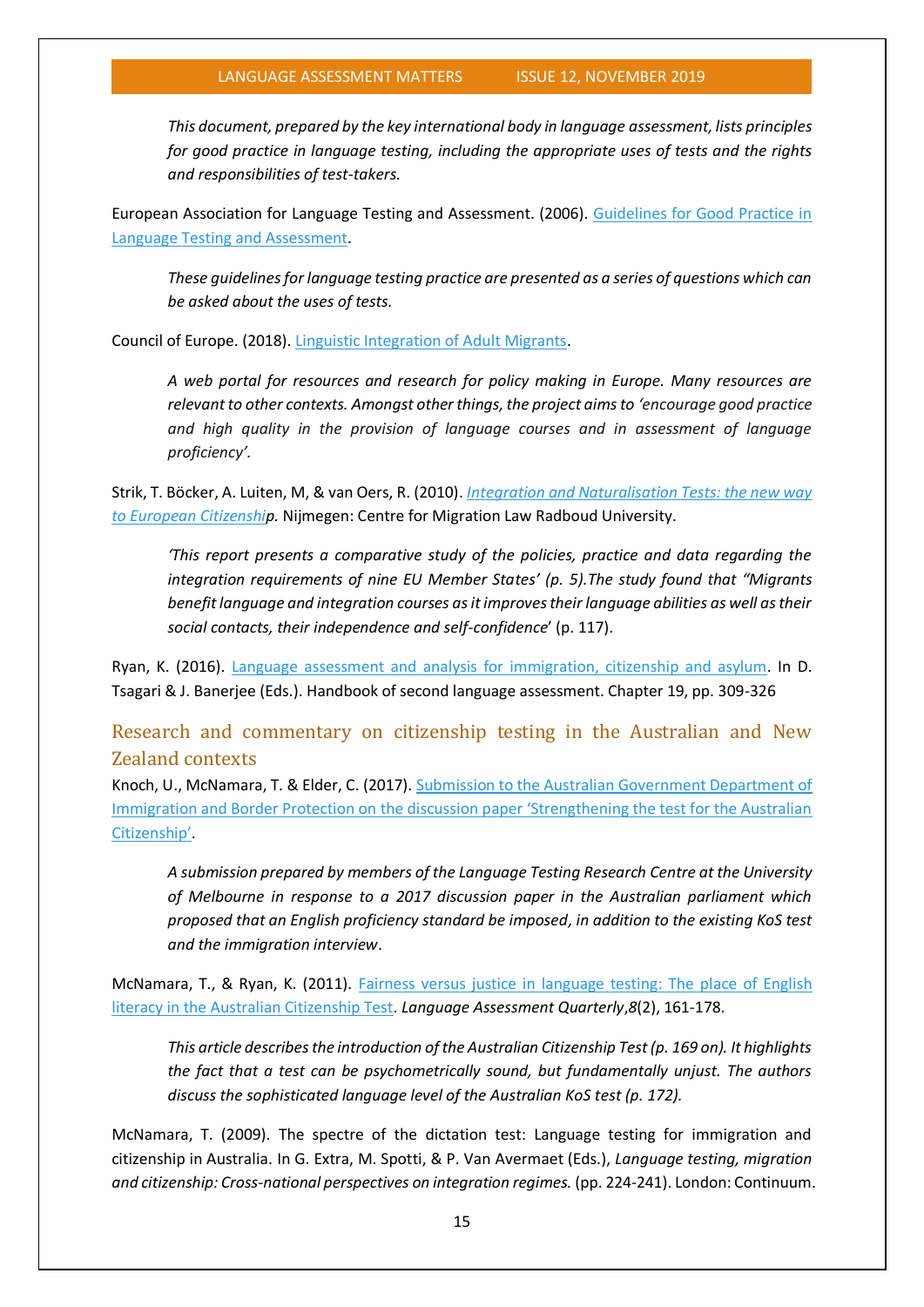*This document, prepared by the key international body in language assessment, lists principles for good practice in language testing, including the appropriate uses of tests and the rights and responsibilities of test-takers.*

European Association for Language Testing and Assessment. (2006). [Guidelines for Good Practice in](http://www.ealta.eu.org/guidelines.htm)  [Language Testing and Assessment.](http://www.ealta.eu.org/guidelines.htm)

*These guidelines for language testing practice are presented as a series of questions which can be asked about the uses of tests.*

Council of Europe. (2018). [Linguistic Integration of Adult Migrants.](https://www.coe.int/en/web/lang-migrants/home)

*A web portal for resources and research for policy making in Europe. Many resources are relevant to other contexts. Amongst other things, the project aims to 'encourage good practice and high quality in the provision of language courses and in assessment of language proficiency'.*

Strik, T. Böcker, A. Luiten, M, & van Oers, R. (2010). *Integration [and Naturalisation Tests: the new way](https://www.ru.nl/law/cmr/research/projects/intec/)  [to European Citizenship](https://www.ru.nl/law/cmr/research/projects/intec/).* Nijmegen: Centre for Migration Law Radboud University.

*'This report presents a comparative study of the policies, practice and data regarding the integration requirements of nine EU Member States' (p. 5).The study found that "Migrants benefitlanguage and integration courses as it improves their language abilities as well as their social contacts, their independence and self-confidence*' (p. 117).

Ryan, K. (2016). [Language assessment and analysis for immigration, citizenship and asylum.](https://www.degruyter.com/viewbooktoc/product/207934) In D. Tsagari & J. Banerjee (Eds.). Handbook of second language assessment. Chapter 19, pp. 309-326

Research and commentary on citizenship testing in the Australian and New Zealand contexts

Knoch, U., McNamara, T. & Elder, C. (2017). [Submission to the Australian Government Department of](https://arts.unimelb.edu.au/__data/assets/pdf_file/0005/2388965/LTRC-submission-to-DIBP-on-citizenship-testing-30-May-2017.pdf)  [Immigration and Border Protection on the discussion paper 'Strengthening the test for the Australian](https://arts.unimelb.edu.au/__data/assets/pdf_file/0005/2388965/LTRC-submission-to-DIBP-on-citizenship-testing-30-May-2017.pdf)  [Citizenship'](https://arts.unimelb.edu.au/__data/assets/pdf_file/0005/2388965/LTRC-submission-to-DIBP-on-citizenship-testing-30-May-2017.pdf).

*A submission prepared by members of the Language Testing Research Centre at the University of Melbourne in response to a 2017 discussion paper in the Australian parliament which proposed that an English proficiency standard be imposed, in addition to the existing KoS test and the immigration interview*.

McNamara, T., & Ryan, K. (2011). [Fairness versus justice in language testing: The place of English](https://www.tandfonline.com/doi/full/10.1080/15434303.2011.565438?casa_token=kju6vx-AcNYAAAAA:Gu8lTl_1Vl-uZDeF3YlvmFAPd4GFrvFO8VKX_TZCxqGVsdO8fFhm1dkpt5lkqRj_JJvbNGGZgYYELpk)  [literacy in the Australian Citizenship Test.](https://www.tandfonline.com/doi/full/10.1080/15434303.2011.565438?casa_token=kju6vx-AcNYAAAAA:Gu8lTl_1Vl-uZDeF3YlvmFAPd4GFrvFO8VKX_TZCxqGVsdO8fFhm1dkpt5lkqRj_JJvbNGGZgYYELpk) *Language Assessment Quarterly*,*8*(2), 161-178.

*This article describes the introduction of the Australian Citizenship Test (p. 169 on). It highlights the fact that a test can be psychometrically sound, but fundamentally unjust. The authors discuss the sophisticated language level of the Australian KoS test (p. 172).* 

McNamara, T. (2009). The spectre of the dictation test: Language testing for immigration and citizenship in Australia. In G. Extra, M. Spotti, & P. Van Avermaet (Eds.), *Language testing, migration and citizenship: Cross-national perspectives on integration regimes.* (pp. 224-241). London: Continuum.